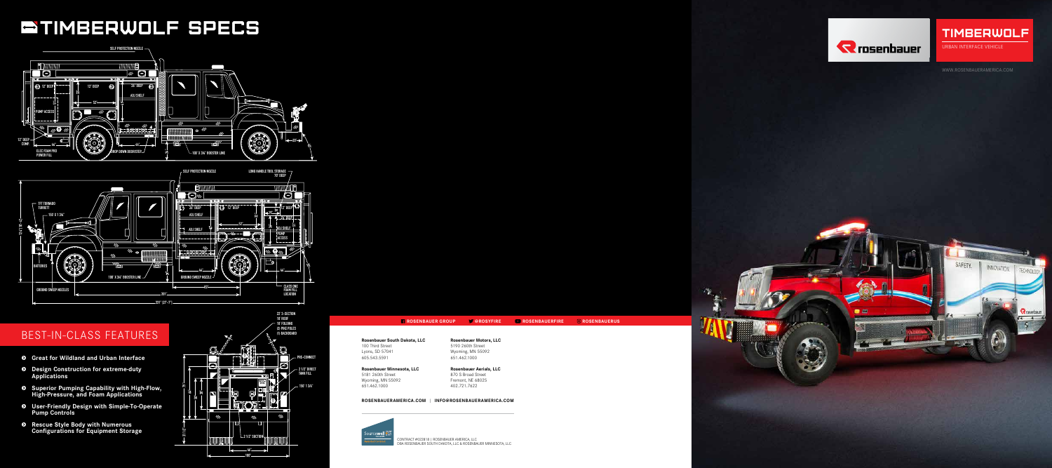### BEST-IN-CLASS FEATURES

# **BTIMBERWOLF SPECS**



- **s Great for Wildland and Urban Interface**
- **s Design Construction for extreme-duty Applications**
- **s Superior Pumping Capability with High-Flow, High-Pressure, and Foam Applications**
- **s User-Friendly Design with Simple-To-Operate Pump Controls**
- **s Rescue Style Body with Numerous Configurations for Equipment Storage 20" 40°**





WWW.ROSENBAUERAMERICA.COM



**SENBAUERFIRE @ROSENBAUERUS** 

### TIMBERWOLF URBAN INTERFACE VEHICLE

| <b>Rosenbauer Motors, LLC</b>  |
|--------------------------------|
|                                |
| 5190 260th Street              |
| Wyoming, MN 55092              |
| 651.462.1000                   |
| <b>Rosenbauer Aerials, LLC</b> |
| 870 S Broad Street             |
| Fremont, NE 68025              |
| 402.721.7622                   |
| INFO@ROSENBAUERAMERICA.COM     |
|                                |
|                                |